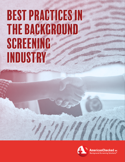# Best Practices In Best Practices In The Background The Background Screening Screening Industry Industry



**AmericanChecked INC.** Background Screening Solutions<sup>®</sup>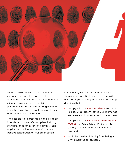

Hiring a new employee or volunteer is an essential function of any organization. Protecting company assets while safeguarding clients, co-workers and the public are paramount. Every hiring or staffing decision is a critical investment employers must make, often with limited information.

The best practices presented in this guide are intended to outline safe, compliant industry standards that can assist in finding suitable applicants or volunteers who will make a positive contribution to your organization.

Stated briefly, responsible hiring practices should reflect practical procedures that will help employers and organizations make hiring decisions that:

- Comply with the **[EEOC Guidance](https://www.ftc.gov/news-events/blogs/business-blog/2014/03/ftc-eeoc-offer-fcra-411)** and limit liability under Title VII of the Civil Rights Act and state and local anti-discrimination laws;
- Comply with the **[Fair Credit Reporting Act](https://www.ftc.gov/enforcement/statutes/fair-credit-reporting-act) [\(FCRA\)](https://www.ftc.gov/enforcement/statutes/fair-credit-reporting-act)**; the Driver Privacy Protection Act (DPPA), all applicable state and federal laws and
- Minimize the risk of liability from hiring an unfit employee or volunteer.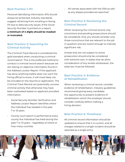#### **Best Practice 1: PII**

Personal Identifying Information (PII) should always be protected. Industry standards suggest refraining from emailing or faxing PII due to data security issues. If the Social Security Number is printed on a report, **a minimum of 4 digits should be masked or truncated.**

### **Best Practice 2: Searching for Criminal Activity**

The *Criminal Track Record* is considered the gold standard when conducting a criminal record search. This is the preferred method to conduct a criminal record search because we are relying on objective information found in the Address Locator Report. If the applicant has done anything he/she does not want the hiring official to know, it will most likely not be included on the resume or application. The Criminal Track Record can potentially uncover criminal activity that otherwise may have been overlooked based on applicant provided information.

- Social Security Number Verification and Address Locator Report identifies where the individual has resided in the past 7 or 10 years
- County court search is performed at every county the individual has lived during the past 7 or 10 years – regardless of where or how many counties

• All names associated with the SSN as well as any aliases provided are searched

#### **Best Practice 3: Reviewing the Criminal Record**

When reviewing the criminal record, only convictions and pending prosecutions should be considered. And, you should consider only those convictions that are relevant to the job in question and are recent enough to indicate significant risk.

Arrests that are not subject to active prosecution should only be considered with extreme care. In states that do allow consideration of any arrests whatsoever, the state law must be followed.

#### **Best Practice 4: Evidence of Rehabilitation**

When reviewing a criminal record, consider evidence of rehabilitation. Industry guidelines recommend giving every candidate the opportunity to present evidence of rehabilitation which the employer should consider carefully before making a hiring decision.

#### **Best Practice 5: Timeliness**

All criminal record information should be updated to ensure that it is current, and all charges related to a single incident should be reported as a single entry.

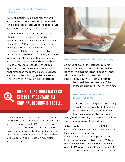#### **Best Practice 6: Database v. Live Search**

Current industry guidelines recommend criminal record searches being conducted by an experienced researcher at the appropriate courthouse vs relying on a database.

If a database is used, it is recommended that it only be used as a "pointer file" or in conjunction with other live criminal searches. It should NEVER be used as a stand-alone or single component. While current multijurisdictional databases contain millions of records (often 950 million or more), *no single, national database* exists that contains all criminal records in the U.S. These databases include only those records from various government and law enforcement entities that have been made available for purchase, can be obtained through public access and/ or are from an in-house historical database.



#### **Best Practice 7: Database Accuracy**

As noted above, online databases are not always accurate or current. All information from online databases should be confirmed with the original source to ensure maximum possible accuracy. We stress this practice

> because it has become one of the more problematic areas for employers.

## No single, national database exists that contains all criminal records in the U.S.

Use of national criminal databases through third parties requires careful consideration and compliance with the FCRA, which governs the provision of information in consumer reports (commonly known as background screening reports). Information obtained from databases should be verified by researching official court records.

#### **Best Practice 8: Use of a Qualified CRA**

Consumer Reporting Agencies (CRAs) are not created equally. Best practice recommends using a CRA that has been accredited by the Professional

Background Screening Association and whose staff is, at minimum, FCRA certified.

Subject to the regulations of the FCRA, the CRA should be well versed on the impact that local, state and federal laws have on the hiring and employment screening process. All U.S. based industries must abide by the FCRA, so it makes sense to use an accredited provider that offers FCRA-governed solutions. Of course, it is always recommended that employers consult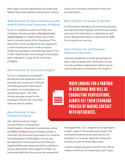their legal counsel regarding local, state and federal laws and related employment matters.

#### **Best Practice 9: Use of Disclosure and Authorization and Summary of Rights**

To be in compliance with the FCRA, the employer should provide a **[Disclosure and](https://www.consumer.ftc.gov/articles/pdf-0096-fair-credit-reporting-act.pdf)  [Authorization](https://www.consumer.ftc.gov/articles/pdf-0096-fair-credit-reporting-act.pdf)** in a stand-alone document which consists solely of the Disclosure. This document must be signed by the applicant/ current employee prior to the company ordering a background screening report from a CRA. Additionally, the employer should give each individual a copy of the Summary of Rights.

#### **Best Practice 10: Consumer Rights**

To be in compliance, employers should provide applicants with a prompt and convenient method of challenging the information provided on the background screening report. The CRA should provide access to the employer of both Pre- and Post-Adverse Action Letters.

#### **Best Practice 11: Job-Related Products**

Job-related products might include MVRs or Employment

Credit Reports. Important to remember is that the **[EEOC Guidance](https://www.eeoc.gov/enforcement-guidances-and-related-documents)** should always be kept in mind during the screening process. For instance, an Employment Credit Report should only be ordered for those positions with fiduciary responsibilities and these should be outlined in the job description. With regard to MVRs, it is recommended that this product be ordered for

those with a driving component within the job description.

#### **Best Practice 12: Scope of Service**

If international background screening services are required, the employer should know where and how the information is obtained as well as the appropriate search criteria which differ from country to country.

#### **Best Practice 13: Verification/ Reference Services**

Industry guidelines include going beyond basic, past employment verification to also include professional/personal references as well as education verification. For those in

When looking for a partner in screening who will be conducting verifications, always vet their standard process of making contact with references.

management, a US Wage & Earnings Report is often used in the screening process. The verification/reference process allows the employer to consider application/resume veracity as well as direct field input.

Current industry practice calls for the CRA to make a minimum of 3 attempts over 3 days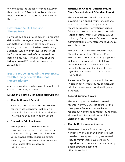to contact the individual reference; however, there are those CRAs that double and even triple the number of attempts before closing the case.

#### **Best Practice 14: Fast Isn't Always Best**

How quickly a background screening report is delivered is contingent on many factors such as whether a live search at the courthouse is being conducted or if a database is being searched. Was a "hit" uncovered that must be further researched to "ensure maximum possible accuracy"? Was a Mercy of Court being accessed? Typically, turnaround is 24-72 hours.

### **Best Practice 15: No Single Tool Exists To Effectively Search Criminal Record History**

A series of overlapping tools must be utilized to conduct a thorough search.

#### **Listing of Selected Criminal Record Options**

**• County Criminal Record**

A county courthouse is the best source for the most recent information on a case which includes criminal convictions involving felonies and misdemeanors.

**• Statewide Criminal Record**

This report lists criminal convictions involving felonies and misdemeanors as made available by the state. Information varies among states regarding arrests resulting from non-convictions. However, not all states offer a statewide criminal search.

#### **• Nationwide Criminal Database/Multi-State Sex and Violent Offenders Report**

The Nationwide Criminal Database is a powerful, high-speed, multi-jurisdictional search of state and county criminal record databases. Information includes felonies and some misdemeanor records (varies by state) from numerous sources including: Departments of Correction, court administrations, law enforcement agencies and prison files.

This search should also include the Multi-State Sex and Violent Offenders Report. This database contains currently registered violent and sex offenders with felony conviction records. The data has been compiled from violent and sex offender registries in 50 states, D.C., Guam and Puerto Rico.

Please note: This product should be used in conjunction with a county or statewide criminal record search for due diligence purposes.

#### **• Federal Criminal Record**

This search provides federal criminal records in any U.S. District court. For the most part, a Federal Criminal Record reports such offenses as money laundering, kidnapping, interstate drug trafficking, violation of civil rights, etc.

#### **• County Civil Upper and Lower**

These searches are for uncovering civil filings from an upper and/or lower court based on the city and county submitted. Results may include cause of action, disposition or current status as well as any details about the case and litigants involved.